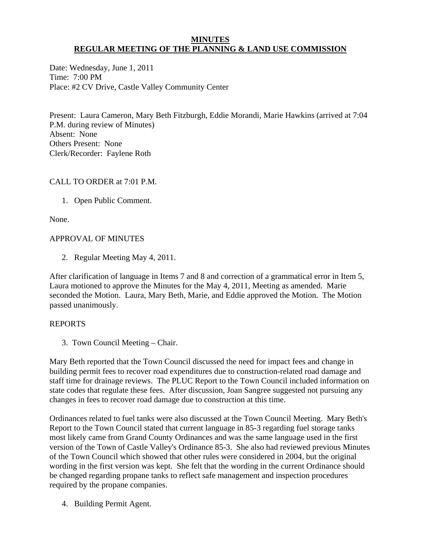#### **MINUTES REGULAR MEETING OF THE PLANNING & LAND USE COMMISSION**

Date: Wednesday, June 1, 2011 Time: 7:00 PM Place: #2 CV Drive, Castle Valley Community Center

Present: Laura Cameron, Mary Beth Fitzburgh, Eddie Morandi, Marie Hawkins (arrived at 7:04 P.M. during review of Minutes) Absent: None Others Present: None Clerk/Recorder: Faylene Roth

# CALL TO ORDER at 7:01 P.M.

1. Open Public Comment.

None.

# APPROVAL OF MINUTES

2. Regular Meeting May 4, 2011.

After clarification of language in Items 7 and 8 and correction of a grammatical error in Item 5, Laura motioned to approve the Minutes for the May 4, 2011, Meeting as amended. Marie seconded the Motion. Laura, Mary Beth, Marie, and Eddie approved the Motion. The Motion passed unanimously.

## REPORTS

3. Town Council Meeting – Chair.

Mary Beth reported that the Town Council discussed the need for impact fees and change in building permit fees to recover road expenditures due to construction-related road damage and staff time for drainage reviews. The PLUC Report to the Town Council included information on state codes that regulate these fees. After discussion, Joan Sangree suggested not pursuing any changes in fees to recover road damage due to construction at this time.

Ordinances related to fuel tanks were also discussed at the Town Council Meeting. Mary Beth's Report to the Town Council stated that current language in 85-3 regarding fuel storage tanks most likely came from Grand County Ordinances and was the same language used in the first version of the Town of Castle Valley's Ordinance 85-3. She also had reviewed previous Minutes of the Town Council which showed that other rules were considered in 2004, but the original wording in the first version was kept. She felt that the wording in the current Ordinance should be changed regarding propane tanks to reflect safe management and inspection procedures required by the propane companies.

4. Building Permit Agent.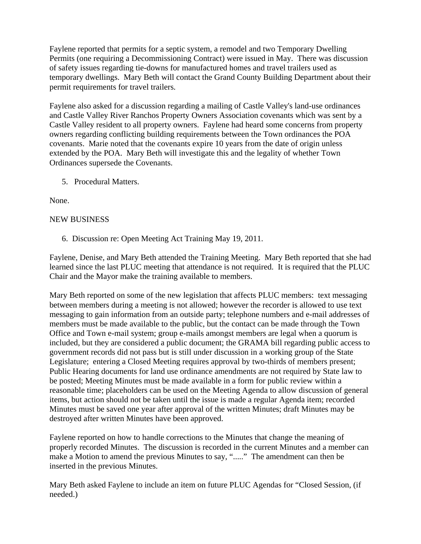Faylene reported that permits for a septic system, a remodel and two Temporary Dwelling Permits (one requiring a Decommissioning Contract) were issued in May. There was discussion of safety issues regarding tie-downs for manufactured homes and travel trailers used as temporary dwellings. Mary Beth will contact the Grand County Building Department about their permit requirements for travel trailers.

Faylene also asked for a discussion regarding a mailing of Castle Valley's land-use ordinances and Castle Valley River Ranchos Property Owners Association covenants which was sent by a Castle Valley resident to all property owners. Faylene had heard some concerns from property owners regarding conflicting building requirements between the Town ordinances the POA covenants. Marie noted that the covenants expire 10 years from the date of origin unless extended by the POA. Mary Beth will investigate this and the legality of whether Town Ordinances supersede the Covenants.

5. Procedural Matters.

None.

## NEW BUSINESS

6. Discussion re: Open Meeting Act Training May 19, 2011.

Faylene, Denise, and Mary Beth attended the Training Meeting. Mary Beth reported that she had learned since the last PLUC meeting that attendance is not required. It is required that the PLUC Chair and the Mayor make the training available to members.

Mary Beth reported on some of the new legislation that affects PLUC members: text messaging between members during a meeting is not allowed; however the recorder is allowed to use text messaging to gain information from an outside party; telephone numbers and e-mail addresses of members must be made available to the public, but the contact can be made through the Town Office and Town e-mail system; group e-mails amongst members are legal when a quorum is included, but they are considered a public document; the GRAMA bill regarding public access to government records did not pass but is still under discussion in a working group of the State Legislature; entering a Closed Meeting requires approval by two-thirds of members present; Public Hearing documents for land use ordinance amendments are not required by State law to be posted; Meeting Minutes must be made available in a form for public review within a reasonable time; placeholders can be used on the Meeting Agenda to allow discussion of general items, but action should not be taken until the issue is made a regular Agenda item; recorded Minutes must be saved one year after approval of the written Minutes; draft Minutes may be destroyed after written Minutes have been approved.

Faylene reported on how to handle corrections to the Minutes that change the meaning of properly recorded Minutes. The discussion is recorded in the current Minutes and a member can make a Motion to amend the previous Minutes to say, "....." The amendment can then be inserted in the previous Minutes.

Mary Beth asked Faylene to include an item on future PLUC Agendas for "Closed Session, (if needed.)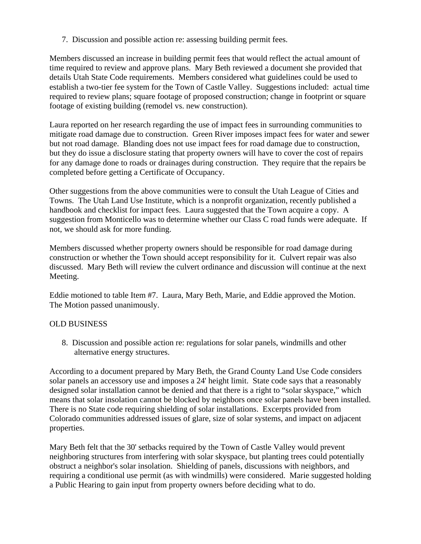7. Discussion and possible action re: assessing building permit fees.

Members discussed an increase in building permit fees that would reflect the actual amount of time required to review and approve plans. Mary Beth reviewed a document she provided that details Utah State Code requirements. Members considered what guidelines could be used to establish a two-tier fee system for the Town of Castle Valley. Suggestions included: actual time required to review plans; square footage of proposed construction; change in footprint or square footage of existing building (remodel vs. new construction).

Laura reported on her research regarding the use of impact fees in surrounding communities to mitigate road damage due to construction. Green River imposes impact fees for water and sewer but not road damage. Blanding does not use impact fees for road damage due to construction, but they do issue a disclosure stating that property owners will have to cover the cost of repairs for any damage done to roads or drainages during construction. They require that the repairs be completed before getting a Certificate of Occupancy.

Other suggestions from the above communities were to consult the Utah League of Cities and Towns. The Utah Land Use Institute, which is a nonprofit organization, recently published a handbook and checklist for impact fees. Laura suggested that the Town acquire a copy. A suggestion from Monticello was to determine whether our Class C road funds were adequate. If not, we should ask for more funding.

Members discussed whether property owners should be responsible for road damage during construction or whether the Town should accept responsibility for it. Culvert repair was also discussed. Mary Beth will review the culvert ordinance and discussion will continue at the next Meeting.

Eddie motioned to table Item #7. Laura, Mary Beth, Marie, and Eddie approved the Motion. The Motion passed unanimously.

## OLD BUSINESS

 8. Discussion and possible action re: regulations for solar panels, windmills and other alternative energy structures.

According to a document prepared by Mary Beth, the Grand County Land Use Code considers solar panels an accessory use and imposes a 24' height limit. State code says that a reasonably designed solar installation cannot be denied and that there is a right to "solar skyspace," which means that solar insolation cannot be blocked by neighbors once solar panels have been installed. There is no State code requiring shielding of solar installations. Excerpts provided from Colorado communities addressed issues of glare, size of solar systems, and impact on adjacent properties.

Mary Beth felt that the 30' setbacks required by the Town of Castle Valley would prevent neighboring structures from interfering with solar skyspace, but planting trees could potentially obstruct a neighbor's solar insolation. Shielding of panels, discussions with neighbors, and requiring a conditional use permit (as with windmills) were considered. Marie suggested holding a Public Hearing to gain input from property owners before deciding what to do.